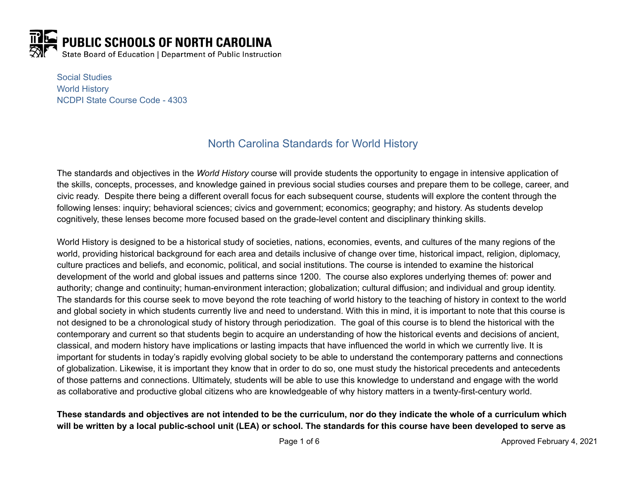

Social Studies World History NCDPI State Course Code - 4303

# North Carolina Standards for World History

The standards and objectives in the *World History* course will provide students the opportunity to engage in intensive application of the skills, concepts, processes, and knowledge gained in previous social studies courses and prepare them to be college, career, and civic ready. Despite there being a different overall focus for each subsequent course, students will explore the content through the following lenses: inquiry; behavioral sciences; civics and government; economics; geography; and history. As students develop cognitively, these lenses become more focused based on the grade-level content and disciplinary thinking skills.

World History is designed to be a historical study of societies, nations, economies, events, and cultures of the many regions of the world, providing historical background for each area and details inclusive of change over time, historical impact, religion, diplomacy, culture practices and beliefs, and economic, political, and social institutions. The course is intended to examine the historical development of the world and global issues and patterns since 1200. The course also explores underlying themes of: power and authority; change and continuity; human-environment interaction; globalization; cultural diffusion; and individual and group identity. The standards for this course seek to move beyond the rote teaching of world history to the teaching of history in context to the world and global society in which students currently live and need to understand. With this in mind, it is important to note that this course is not designed to be a chronological study of history through periodization. The goal of this course is to blend the historical with the contemporary and current so that students begin to acquire an understanding of how the historical events and decisions of ancient, classical, and modern history have implications or lasting impacts that have influenced the world in which we currently live. It is important for students in today's rapidly evolving global society to be able to understand the contemporary patterns and connections of globalization. Likewise, it is important they know that in order to do so, one must study the historical precedents and antecedents of those patterns and connections. Ultimately, students will be able to use this knowledge to understand and engage with the world as collaborative and productive global citizens who are knowledgeable of why history matters in a twenty-first-century world.

#### These standards and objectives are not intended to be the curriculum, nor do they indicate the whole of a curriculum which will be written by a local public-school unit (LEA) or school. The standards for this course have been developed to serve as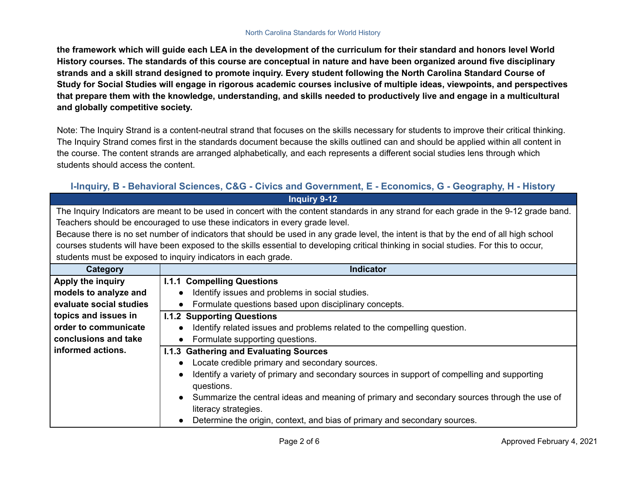#### North Carolina Standards for World History

the framework which will guide each LEA in the development of the curriculum for their standard and honors level World History courses. The standards of this course are conceptual in nature and have been organized around five disciplinary strands and a skill strand designed to promote inquiry. Every student following the North Carolina Standard Course of Study for Social Studies will engage in rigorous academic courses inclusive of multiple ideas, viewpoints, and perspectives that prepare them with the knowledge, understanding, and skills needed to productively live and engage in a multicultural **and globally competitive society.**

Note: The Inquiry Strand is a content-neutral strand that focuses on the skills necessary for students to improve their critical thinking. The Inquiry Strand comes first in the standards document because the skills outlined can and should be applied within all content in the course. The content strands are arranged alphabetically, and each represents a different social studies lens through which students should access the content.

| <b>Inquiry 9-12</b>                                                                                                                    |                                                                                                          |
|----------------------------------------------------------------------------------------------------------------------------------------|----------------------------------------------------------------------------------------------------------|
| The Inquiry Indicators are meant to be used in concert with the content standards in any strand for each grade in the 9-12 grade band. |                                                                                                          |
| Teachers should be encouraged to use these indicators in every grade level.                                                            |                                                                                                          |
| Because there is no set number of indicators that should be used in any grade level, the intent is that by the end of all high school  |                                                                                                          |
| courses students will have been exposed to the skills essential to developing critical thinking in social studies. For this to occur,  |                                                                                                          |
| students must be exposed to inquiry indicators in each grade.                                                                          |                                                                                                          |
| Category                                                                                                                               | <b>Indicator</b>                                                                                         |
| Apply the inquiry                                                                                                                      | <b>I.1.1 Compelling Questions</b>                                                                        |
| models to analyze and                                                                                                                  | Identify issues and problems in social studies.<br>$\bullet$                                             |
| evaluate social studies                                                                                                                | Formulate questions based upon disciplinary concepts.<br>$\bullet$                                       |
| topics and issues in                                                                                                                   | <b>I.1.2 Supporting Questions</b>                                                                        |
| order to communicate                                                                                                                   | Identify related issues and problems related to the compelling question.                                 |
| conclusions and take                                                                                                                   | Formulate supporting questions.<br>$\bullet$                                                             |
| informed actions.                                                                                                                      | <b>I.1.3 Gathering and Evaluating Sources</b>                                                            |
|                                                                                                                                        | Locate credible primary and secondary sources.<br>$\bullet$                                              |
|                                                                                                                                        | Identify a variety of primary and secondary sources in support of compelling and supporting              |
|                                                                                                                                        | questions.                                                                                               |
|                                                                                                                                        | Summarize the central ideas and meaning of primary and secondary sources through the use of<br>$\bullet$ |
|                                                                                                                                        | literacy strategies.                                                                                     |
|                                                                                                                                        | Determine the origin, context, and bias of primary and secondary sources.<br>$\bullet$                   |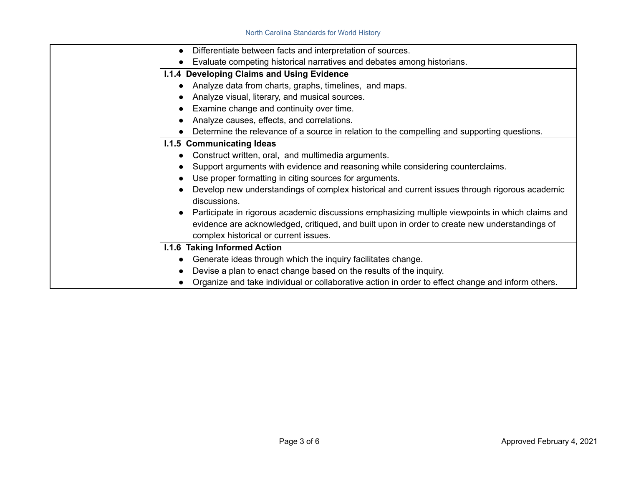North Carolina Standards for World History

| $\bullet$ | Differentiate between facts and interpretation of sources.                                                    |
|-----------|---------------------------------------------------------------------------------------------------------------|
|           | Evaluate competing historical narratives and debates among historians.                                        |
|           | <b>I.1.4 Developing Claims and Using Evidence</b>                                                             |
|           | Analyze data from charts, graphs, timelines, and maps.                                                        |
|           | Analyze visual, literary, and musical sources.                                                                |
|           | Examine change and continuity over time.                                                                      |
|           | Analyze causes, effects, and correlations.                                                                    |
|           | Determine the relevance of a source in relation to the compelling and supporting questions.                   |
|           | <b>I.1.5 Communicating Ideas</b>                                                                              |
|           | Construct written, oral, and multimedia arguments.                                                            |
|           | Support arguments with evidence and reasoning while considering counterclaims.                                |
|           | Use proper formatting in citing sources for arguments.                                                        |
|           | Develop new understandings of complex historical and current issues through rigorous academic<br>discussions. |
|           | Participate in rigorous academic discussions emphasizing multiple viewpoints in which claims and              |
|           | evidence are acknowledged, critiqued, and built upon in order to create new understandings of                 |
|           | complex historical or current issues.                                                                         |
|           | I.1.6 Taking Informed Action                                                                                  |
|           | Generate ideas through which the inquiry facilitates change.                                                  |
|           | Devise a plan to enact change based on the results of the inquiry.                                            |
|           | Organize and take individual or collaborative action in order to effect change and inform others.             |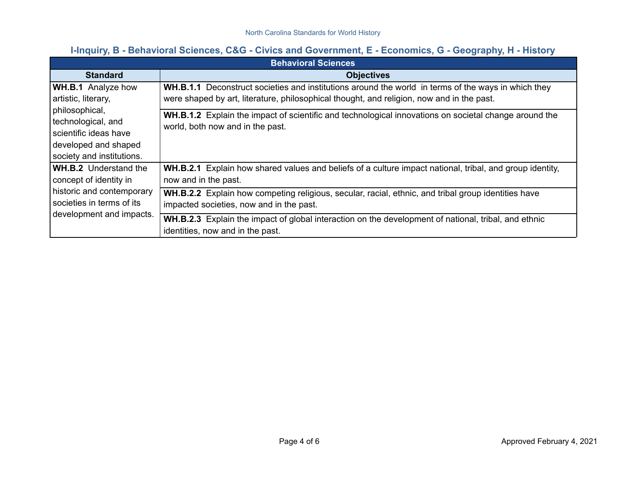| <b>Behavioral Sciences</b>                                                                                                                                             |                                                                                                                                                                                                         |  |
|------------------------------------------------------------------------------------------------------------------------------------------------------------------------|---------------------------------------------------------------------------------------------------------------------------------------------------------------------------------------------------------|--|
| <b>Standard</b>                                                                                                                                                        | <b>Objectives</b>                                                                                                                                                                                       |  |
| <b>WH.B.1</b> Analyze how<br>artistic, literary,<br>philosophical,<br>technological, and<br>scientific ideas have<br>developed and shaped<br>society and institutions. | <b>WH.B.1.1</b> Deconstruct societies and institutions around the world in terms of the ways in which they<br>were shaped by art, literature, philosophical thought, and religion, now and in the past. |  |
|                                                                                                                                                                        | WH.B.1.2 Explain the impact of scientific and technological innovations on societal change around the<br>world, both now and in the past.                                                               |  |
| <b>WH.B.2</b> Understand the<br>concept of identity in<br>historic and contemporary<br>societies in terms of its<br>development and impacts.                           | WH.B.2.1 Explain how shared values and beliefs of a culture impact national, tribal, and group identity,<br>now and in the past.                                                                        |  |
|                                                                                                                                                                        | WH.B.2.2 Explain how competing religious, secular, racial, ethnic, and tribal group identities have<br>impacted societies, now and in the past.                                                         |  |
|                                                                                                                                                                        | <b>WH.B.2.3</b> Explain the impact of global interaction on the development of national, tribal, and ethnic<br>identities, now and in the past.                                                         |  |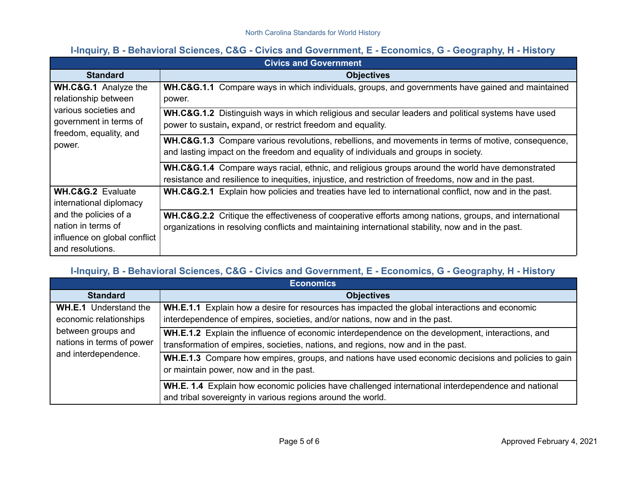| <b>Civics and Government</b>                                                                                                                   |                                                                                                                                                                                                          |  |
|------------------------------------------------------------------------------------------------------------------------------------------------|----------------------------------------------------------------------------------------------------------------------------------------------------------------------------------------------------------|--|
| <b>Standard</b>                                                                                                                                | <b>Objectives</b>                                                                                                                                                                                        |  |
| <b>WH.C&amp;G.1</b> Analyze the<br>relationship between<br>various societies and<br>government in terms of<br>freedom, equality, and<br>power. | WH.C&G.1.1 Compare ways in which individuals, groups, and governments have gained and maintained<br>power.                                                                                               |  |
|                                                                                                                                                | WH.C&G.1.2 Distinguish ways in which religious and secular leaders and political systems have used<br>power to sustain, expand, or restrict freedom and equality.                                        |  |
|                                                                                                                                                | WH.C&G.1.3 Compare various revolutions, rebellions, and movements in terms of motive, consequence,<br>and lasting impact on the freedom and equality of individuals and groups in society.               |  |
|                                                                                                                                                | WH.C&G.1.4 Compare ways racial, ethnic, and religious groups around the world have demonstrated<br>resistance and resilience to inequities, injustice, and restriction of freedoms, now and in the past. |  |
| <b>WH.C&amp;G.2 Evaluate</b>                                                                                                                   | WH.C&G.2.1 Explain how policies and treaties have led to international conflict, now and in the past.                                                                                                    |  |
| international diplomacy                                                                                                                        |                                                                                                                                                                                                          |  |
| and the policies of a                                                                                                                          | <b>WH.C&amp;G.2.2</b> Critique the effectiveness of cooperative efforts among nations, groups, and international                                                                                         |  |
| nation in terms of                                                                                                                             | organizations in resolving conflicts and maintaining international stability, now and in the past.                                                                                                       |  |
| influence on global conflict                                                                                                                   |                                                                                                                                                                                                          |  |
| and resolutions.                                                                                                                               |                                                                                                                                                                                                          |  |

# **I-Inquiry, B - Behavioral Sciences, C&G - Civics and Government, E - Economics, G - Geography, H - History**

| <b>Economics</b>                                                                                                                  |                                                                                                                                                                                      |  |
|-----------------------------------------------------------------------------------------------------------------------------------|--------------------------------------------------------------------------------------------------------------------------------------------------------------------------------------|--|
| <b>Standard</b>                                                                                                                   | <b>Objectives</b>                                                                                                                                                                    |  |
| <b>WH.E.1</b> Understand the<br>economic relationships<br>between groups and<br>nations in terms of power<br>and interdependence. | WH.E.1.1 Explain how a desire for resources has impacted the global interactions and economic<br>interdependence of empires, societies, and/or nations, now and in the past.         |  |
|                                                                                                                                   | WH.E.1.2 Explain the influence of economic interdependence on the development, interactions, and<br>transformation of empires, societies, nations, and regions, now and in the past. |  |
|                                                                                                                                   | WH.E.1.3 Compare how empires, groups, and nations have used economic decisions and policies to gain<br>or maintain power, now and in the past.                                       |  |
|                                                                                                                                   | WH.E. 1.4 Explain how economic policies have challenged international interdependence and national<br>and tribal sovereignty in various regions around the world.                    |  |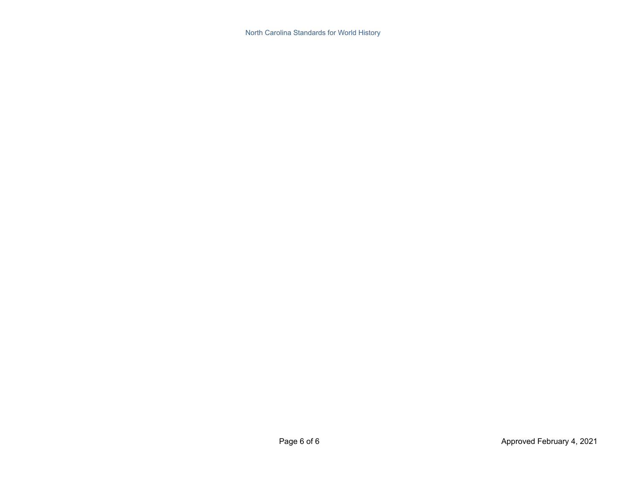North Carolina Standards for World History